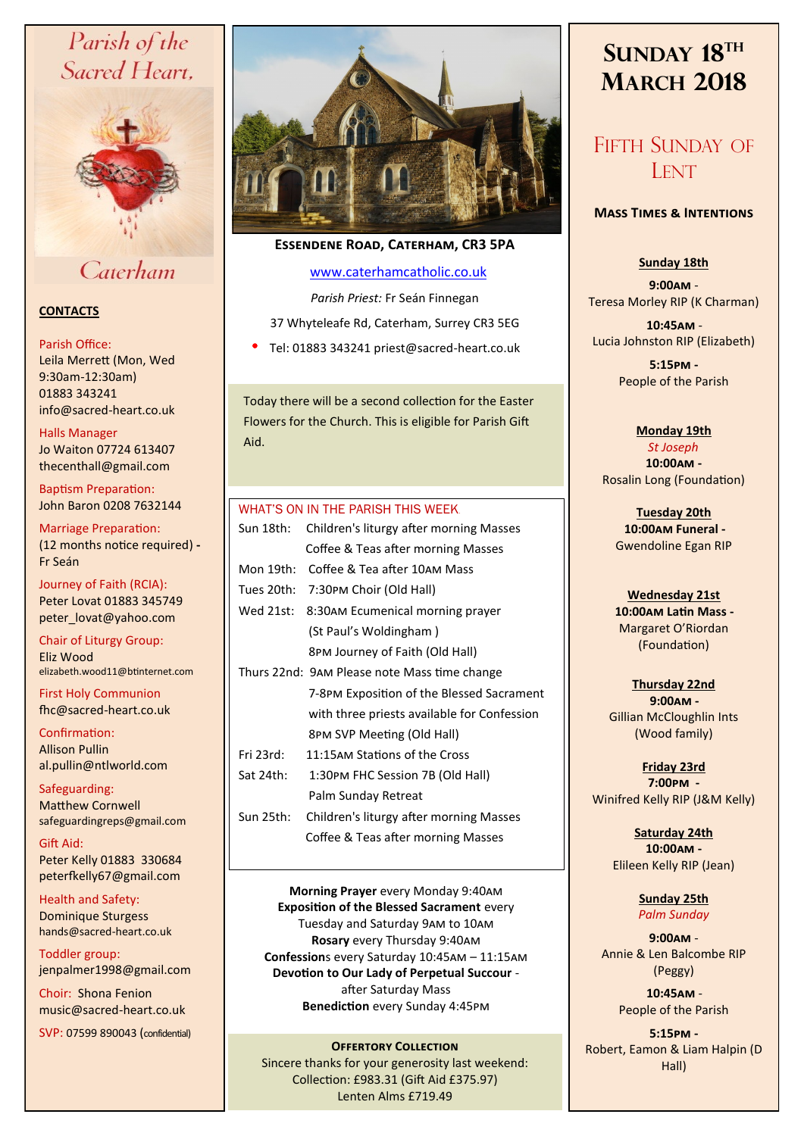# Parish of the Sacred Heart,



# Caterham

# **CONTACTS**

#### Parish Office:

Leila Merrett (Mon, Wed 9:30am-12:30am) 01883 343241 info@sacred-heart.co.uk .

Halls Manager Jo Waiton 07724 613407 thecenthall@gmail.com

Baptism Preparation: John Baron 0208 7632144

Marriage Preparation: (12 months notice required) **-** Fr Seán

Journey of Faith (RCIA): Peter Lovat 01883 345749 peter\_lovat@yahoo.com

Chair of Liturgy Group: Eliz Wood elizabeth.wood11@btinternet.com

First Holy Communion fhc@sacred-heart.co.uk

Confirmation: Allison Pullin al.pullin@ntlworld.com

Safeguarding: Matthew Cornwell safeguardingreps@gmail.com

Gift Aid: Peter Kelly 01883 330684 peterfkelly67@gmail.com

Health and Safety: Dominique Sturgess hands@sacred-heart.co.uk

Toddler group: jenpalmer1998@gmail.com

Choir: Shona Fenion music@sacred-heart.co.uk

SVP: 07599 890043 (confidential)



# **Essendene Road, Caterham, CR3 5PA**

# [www.caterhamcatholic.co.uk](http://Www.caterhamcatholic.co.uk)

*Parish Priest:* Fr Seán Finnegan

37 Whyteleafe Rd, Caterham, Surrey CR3 5EG

Tel: 01883 343241 priest@sacred-heart.co.uk

Today there will be a second collection for the Easter Flowers for the Church. This is eligible for Parish Gift Aid.

## WHAT'S ON IN THE PARISH THIS WEEK.

| Sun 18th:  | Children's liturgy after morning Masses      |
|------------|----------------------------------------------|
|            | Coffee & Teas after morning Masses           |
| Mon 19th:  | Coffee & Tea after 10AM Mass                 |
| Tues 20th: | 7:30PM Choir (Old Hall)                      |
| Wed 21st:  | 8:30AM Ecumenical morning prayer             |
|            | (St Paul's Woldingham)                       |
|            | 8PM Journey of Faith (Old Hall)              |
|            | Thurs 22nd: 9AM Please note Mass time change |
|            | 7-8PM Exposition of the Blessed Sacrament    |
|            | with three priests available for Confession  |
|            | 8PM SVP Meeting (Old Hall)                   |
| Fri 23rd:  | 11:15AM Stations of the Cross                |
| Sat 24th:  | 1:30PM FHC Session 7B (Old Hall)             |
|            | Palm Sunday Retreat                          |
| Sun 25th:  | Children's liturgy after morning Masses      |
|            | Coffee & Teas after morning Masses           |
|            |                                              |

**Morning Prayer** every Monday 9:40am **Exposition of the Blessed Sacrament** every Tuesday and Saturday 9am to 10am **Rosary** every Thursday 9:40am **Confession**s every Saturday 10:45am – 11:15am **Devotion to Our Lady of Perpetual Succour**  after Saturday Mass **Benediction** every Sunday 4:45pm

**OFFERTORY COLLECTION** Sincere thanks for your generosity last weekend: Collection: £983.31 (Gift Aid £375.97) Lenten Alms £719.49

# **SUNDAY 18TH MARCH 2018**

# FIFTH SUNDAY OF **LENT**

## **Mass Times & Intentions**

# **Sunday 18th**

**9:00am** - Teresa Morley RIP (K Charman)

.**10:45am** - Lucia Johnston RIP (Elizabeth)

> **5:15pm -** People of the Parish

#### **Monday 19th**  *St Joseph*.

**10:00am -**  Rosalin Long (Foundation)

**Tuesday 20th**  ..**10:00am Funeral -** Gwendoline Egan RIP

# **Wednesday 21st** .**10:00am Latin Mass -** Margaret O'Riordan (Foundation)

**Thursday 22nd**  .**9:00am -** Gillian McCloughlin Ints (Wood family)

**Friday 23rd 7:00pm -**  Winifred Kelly RIP (J&M Kelly)

> **Saturday 24th 10:00am -**  Elileen Kelly RIP (Jean)

> > **Sunday 25th** *Palm Sunday*

**9:00am** - Annie & Len Balcombe RIP (Peggy)

> .**10:45am** - People of the Parish

**5:15pm -** Robert, Eamon & Liam Halpin (D Hall)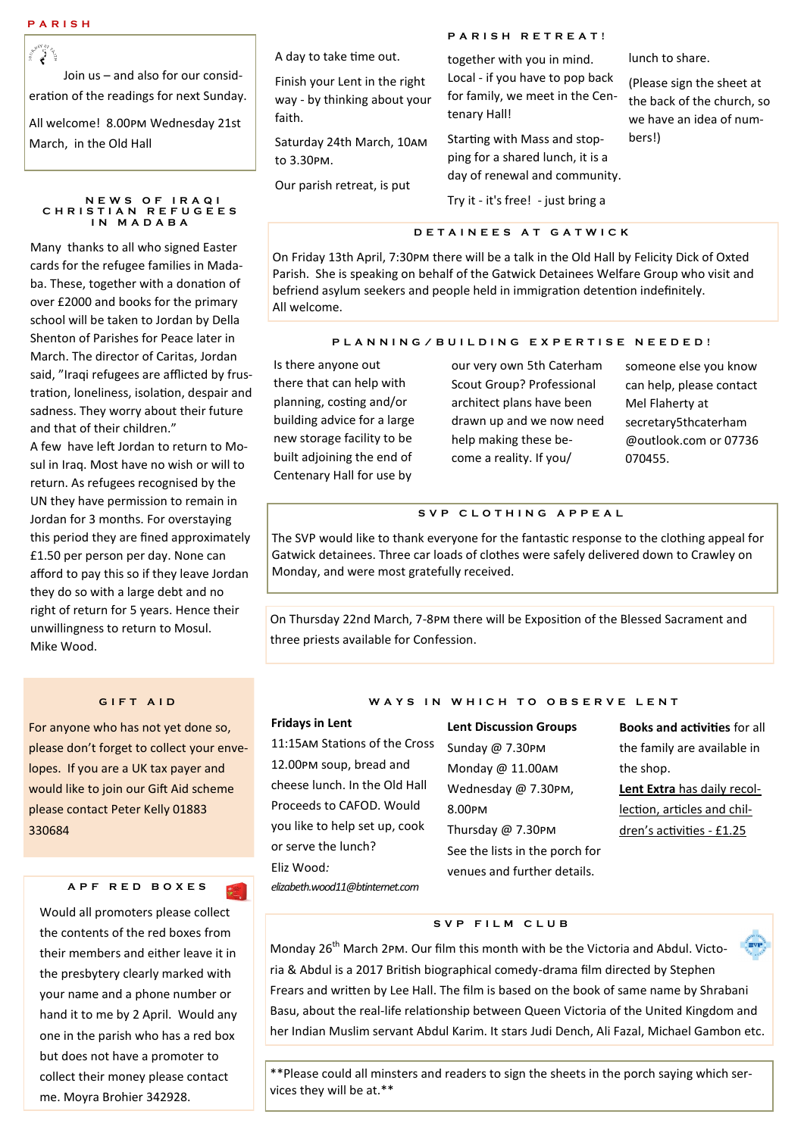ૻૻૢૻ૾ Join us – and also for our consideration of the readings for next Sunday. All welcome! 8.00pm Wednesday 21st March, in the Old Hall

 **N E W S O F I R A Q I C H R I S T I A N R E F U G E E S I N M A D A B A**

Many thanks to all who signed Easter cards for the refugee families in Madaba. These, together with a donation of over £2000 and books for the primary school will be taken to Jordan by Della Shenton of Parishes for Peace later in March. The director of Caritas, Jordan said, "Iraqi refugees are afflicted by frustration, loneliness, isolation, despair and sadness. They worry about their future and that of their children."

A few have left Jordan to return to Mosul in Iraq. Most have no wish or will to return. As refugees recognised by the UN they have permission to remain in Jordan for 3 months. For overstaying this period they are fined approximately £1.50 per person per day. None can afford to pay this so if they leave Jordan they do so with a large debt and no right of return for 5 years. Hence their unwillingness to return to Mosul. Mike Wood.

## **G I F T A I D**

For anyone who has not yet done so, please don't forget to collect your envelopes. If you are a UK tax payer and would like to join our Gift Aid scheme please contact Peter Kelly 01883 330684

#### **A P F R E D B O X E S**

Would all promoters please collect the contents of the red boxes from their members and either leave it in the presbytery clearly marked with your name and a phone number or hand it to me by 2 April. Would any one in the parish who has a red box but does not have a promoter to collect their money please contact me. Moyra Brohier 342928.

A day to take time out.

Finish your Lent in the right way - by thinking about your faith.

Saturday 24th March, 10am to 3.30pm.

Our parish retreat, is put

**P A R I S H R E T R E A T !** 

together with you in mind. Local - if you have to pop back for family, we meet in the Centenary Hall!

Starting with Mass and stopping for a shared lunch, it is a day of renewal and community. Try it - it's free! - just bring a

#### **D E T A I N E E S A T G A T W I C K**

On Friday 13th April, 7:30pm there will be a talk in the Old Hall by Felicity Dick of Oxted Parish. She is speaking on behalf of the Gatwick Detainees Welfare Group who visit and befriend asylum seekers and people held in immigration detention indefinitely. All welcome.

#### **P L A N N I N G / B U I L D I N G E X P E R T I S E N E E D E D !**

Is there anyone out there that can help with planning, costing and/or building advice for a large new storage facility to be built adjoining the end of Centenary Hall for use by

our very own 5th Caterham Scout Group? Professional architect plans have been drawn up and we now need help making these become a reality. If you/

someone else you know can help, please contact Mel Flaherty at secretary5thcaterham @outlook.com or 07736 070455.

lunch to share.

bers!)

(Please sign the sheet at the back of the church, so we have an idea of num-

#### **S V P C L O T H I N G A P P E A L**

The SVP would like to thank everyone for the fantastic response to the clothing appeal for Gatwick detainees. Three car loads of clothes were safely delivered down to Crawley on Monday, and were most gratefully received.

On Thursday 22nd March, 7-8pm there will be Exposition of the Blessed Sacrament and three priests available for Confession.

# WAYS IN WHICH TO OBSERVE LENT

#### **Fridays in Lent**

11:15am Stations of the Cross 12.00pm soup, bread and cheese lunch. In the Old Hall Proceeds to CAFOD. Would you like to help set up, cook or serve the lunch? Eliz Wood*: elizabeth.wood11@btinternet.com*

**Lent Discussion Groups** Sunday @ 7.30pm Monday @ 11.00am Wednesday @ 7.30pm, 8.00pm Thursday @ 7.30pm See the lists in the porch for venues and further details.

**Books and activities** for all the family are available in the shop.

**Lent Extra** has daily recollection, articles and children's activities - £1.25

#### **S V P F I L M C L U B**

Monday  $26<sup>th</sup>$  March 2pm. Our film this month with be the Victoria and Abdul. Victoria & Abdul is a 2017 British biographical comedy-drama film directed by Stephen Frears and written by Lee Hall. The film is based on the book of same name by Shrabani Basu, about the real-life relationship between Queen Victoria of the United Kingdom and her Indian Muslim servant Abdul Karim. It stars Judi Dench, Ali Fazal, Michael Gambon etc.

\*\*Please could all minsters and readers to sign the sheets in the porch saying which services they will be at.\*\*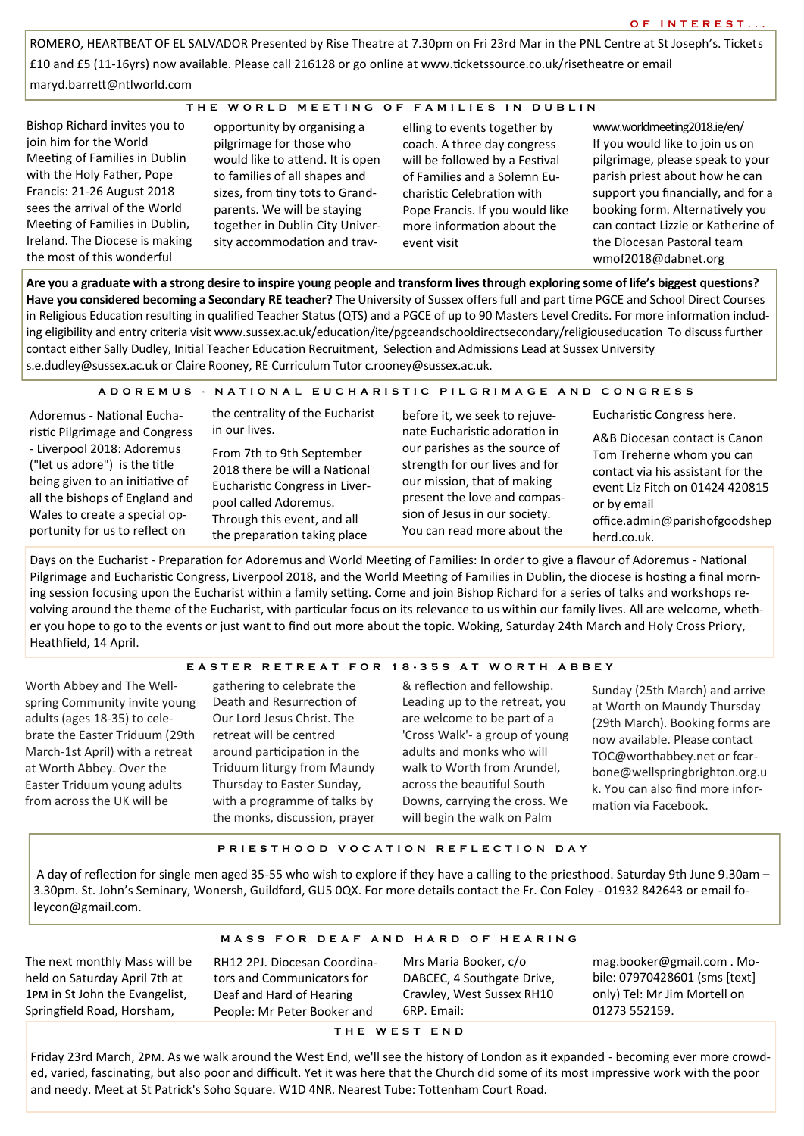ROMERO, HEARTBEAT OF EL SALVADOR Presented by Rise Theatre at 7.30pm on Fri 23rd Mar in the PNL Centre at St Joseph's. Tickets £10 and £5 (11-16yrs) now available. Please call 216128 or go online at www.ticketssource.co.uk/risetheatre or email maryd.barrett@ntlworld.com

#### **T H E W O R L D M E E T I N G O F F A M I L I E S I N D U B L I N**

Bishop Richard invites you to join him for the World Meeting of Families in Dublin with the Holy Father, Pope Francis: 21-26 August 2018 sees the arrival of the World Meeting of Families in Dublin, Ireland. The Diocese is making the most of this wonderful

opportunity by organising a pilgrimage for those who would like to attend. It is open to families of all shapes and sizes, from tiny tots to Grandparents. We will be staying together in Dublin City University accommodation and trav-

elling to events together by coach. A three day congress will be followed by a Festival of Families and a Solemn Eucharistic Celebration with Pope Francis. If you would like more information about the event visit

www.worldmeeting2018.ie/en/ If you would like to join us on pilgrimage, please speak to your parish priest about how he can support you financially, and for a booking form. Alternatively you can contact Lizzie or Katherine of the Diocesan Pastoral team wmof2018@dabnet.org

**Are you a graduate with a strong desire to inspire young people and transform lives through exploring some of life's biggest questions? Have you considered becoming a Secondary RE teacher?** The University of Sussex offers full and part time PGCE and School Direct Courses in Religious Education resulting in qualified Teacher Status (QTS) and a PGCE of up to 90 Masters Level Credits. For more information including eligibility and entry criteria visit www.sussex.ac.uk/education/ite/pgceandschooldirectsecondary/religiouseducation To discuss further contact either Sally Dudley, Initial Teacher Education Recruitment, Selection and Admissions Lead at Sussex University s.e.dudley@sussex.ac.uk or Claire Rooney, RE Curriculum Tutor c.rooney@sussex.ac.uk.

### **A D O R E M U S - N A T I O N A L E U C H A R I S T I C P I L G R I M A G E A N D C O N G R E S S**

Adoremus - National Eucharistic Pilgrimage and Congress - Liverpool 2018: Adoremus ("let us adore") is the title being given to an initiative of all the bishops of England and Wales to create a special opportunity for us to reflect on

the centrality of the Eucharist in our lives.

From 7th to 9th September 2018 there be will a National Eucharistic Congress in Liverpool called Adoremus. Through this event, and all the preparation taking place

before it, we seek to rejuvenate Eucharistic adoration in our parishes as the source of strength for our lives and for our mission, that of making present the love and compassion of Jesus in our society. You can read more about the

Eucharistic Congress here.

A&B Diocesan contact is Canon Tom Treherne whom you can contact via his assistant for the event Liz Fitch on 01424 420815 or by email office.admin@parishofgoodshep herd.co.uk.

Days on the Eucharist - Preparation for Adoremus and World Meeting of Families: In order to give a flavour of Adoremus - National Pilgrimage and Eucharistic Congress, Liverpool 2018, and the World Meeting of Families in Dublin, the diocese is hosting a final morning session focusing upon the Eucharist within a family setting. Come and join Bishop Richard for a series of talks and workshops revolving around the theme of the Eucharist, with particular focus on its relevance to us within our family lives. All are welcome, whether you hope to go to the events or just want to find out more about the topic. Woking, Saturday 24th March and Holy Cross Priory, Heathfield, 14 April.

#### **E A S T E R R E T R E A T F O R 1 8 - 3 5 S A T W O R T H A B B E Y**

Worth Abbey and The Wellspring Community invite young adults (ages 18-35) to celebrate the Easter Triduum (29th March-1st April) with a retreat at Worth Abbey. Over the Easter Triduum young adults from across the UK will be

gathering to celebrate the Death and Resurrection of Our Lord Jesus Christ. The retreat will be centred around participation in the Triduum liturgy from Maundy Thursday to Easter Sunday, with a programme of talks by the monks, discussion, prayer & reflection and fellowship. Leading up to the retreat, you are welcome to be part of a 'Cross Walk'- a group of young adults and monks who will walk to Worth from Arundel, across the beautiful South Downs, carrying the cross. We will begin the walk on Palm

Sunday (25th March) and arrive at Worth on Maundy Thursday (29th March). Booking forms are now available. Please contact TOC@worthabbey.net or fcarbone@wellspringbrighton.org.u k. You can also find more information via Facebook.

#### **P R I E S T H O O D V O C A T I O N R E F L E C T I O N D A Y**

A day of reflection for single men aged 35-55 who wish to explore if they have a calling to the priesthood. Saturday 9th June 9.30am – 3.30pm. St. John's Seminary, Wonersh, Guildford, GU5 0QX. For more details contact the Fr. Con Foley - 01932 842643 or email foleycon@gmail.com.

#### **M A S S F O R D E A F A N D H A R D O F H E A R I N G**

The next monthly Mass will be held on Saturday April 7th at 1pm in St John the Evangelist, Springfield Road, Horsham,

RH12 2PJ. Diocesan Coordinators and Communicators for Deaf and Hard of Hearing People: Mr Peter Booker and

Mrs Maria Booker, c/o DABCEC, 4 Southgate Drive, Crawley, West Sussex RH10 6RP. Email:

mag.booker@gmail.com . Mobile: 07970428601 (sms [text] only) Tel: Mr Jim Mortell on 01273 552159.

#### **T H E W E S T E N D**

Friday 23rd March, 2pm. As we walk around the West End, we'll see the history of London as it expanded - becoming ever more crowded, varied, fascinating, but also poor and difficult. Yet it was here that the Church did some of its most impressive work with the poor and needy. Meet at St Patrick's Soho Square. W1D 4NR. Nearest Tube: Tottenham Court Road.